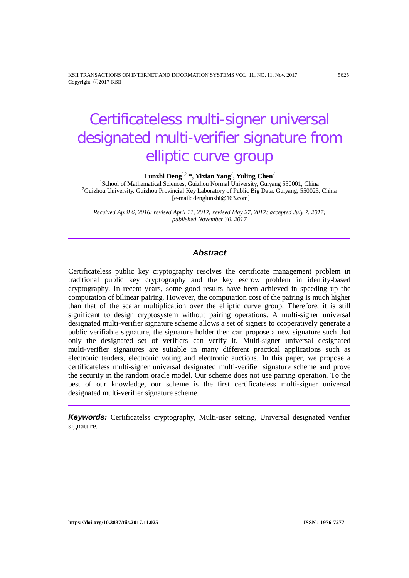KSII TRANSACTIONS ON INTERNET AND INFORMATION SYSTEMS VOL. 11, NO. 11, Nov. 2017 5625 Copyright ⓒ2017 KSII

# Certificateless multi-signer universal designated multi-verifier signature from elliptic curve group

**Lunzhi Deng**1,2,**\*, Yixian Yang**<sup>2</sup> **, Yuling Chen**<sup>2</sup>

<sup>1</sup>School of Mathematical Sciences, Guizhou Normal University, Guiyang 550001, China<br><sup>2</sup>Guizhou University, Guizhou Provincial Koy Leberstery of Public Pic Data, Guiyang, 550025 <sup>2</sup>Guizhou University, Guizhou Provincial Key Laboratory of Public Big Data, Guiyang, 550025, China [e-mail: denglunzhi@163.com]

*Received April 6, 2016; revised April 11, 2017; revised May 27, 2017; accepted July 7, 2017; published November 30, 2017*

# *Abstract*

Certificateless public key cryptography resolves the certificate management problem in traditional public key cryptography and the key escrow problem in identity-based cryptography. In recent years, some good results have been achieved in speeding up the computation of bilinear pairing. However, the computation cost of the pairing is much higher than that of the scalar multiplication over the elliptic curve group. Therefore, it is still significant to design cryptosystem without pairing operations. A multi-signer universal designated multi-verifier signature scheme allows a set of signers to cooperatively generate a public verifiable signature, the signature holder then can propose a new signature such that only the designated set of verifiers can verify it. Multi-signer universal designated multi-verifier signatures are suitable in many different practical applications such as electronic tenders, electronic voting and electronic auctions. In this paper, we propose a certificateless multi-signer universal designated multi-verifier signature scheme and prove the security in the random oracle model. Our scheme does not use pairing operation. To the best of our knowledge, our scheme is the first certificateless multi-signer universal designated multi-verifier signature scheme.

*Keywords:* Certificatelss cryptography, Multi-user setting, Universal designated verifier signature.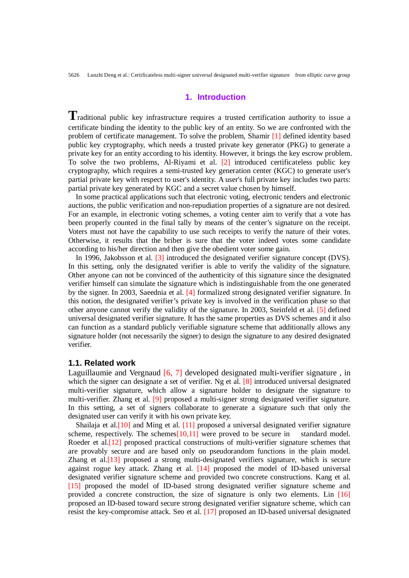# **1. Introduction**

**T**raditional public key infrastructure requires a trusted certification authority to issue a certificate binding the identity to the public key of an entity. So we are confronted with the problem of certificate management. To solve the problem, Shamir [1] defined identity based public key cryptography, which needs a trusted private key generator (PKG) to generate a private key for an entity according to his identity. However, it brings the key escrow problem. To solve the two problems, Al-Riyami et al. [2] introduced certificateless public key cryptography, which requires a semi-trusted key generation center (KGC) to generate user's partial private key with respect to user's identity. A user's full private key includes two parts: partial private key generated by KGC and a secret value chosen by himself.

In some practical applications such that electronic voting, electronic tenders and electronic auctions, the public verification and non-repudiation properties of a signature are not desired. For an example, in electronic voting schemes, a voting center aim to verify that a vote has been properly counted in the final tally by means of the center's signature on the receipt. Voters must not have the capability to use such receipts to verify the nature of their votes. Otherwise, it results that the briber is sure that the voter indeed votes some candidate according to his/her direction and then give the obedient voter some gain.

In 1996, Jakobsson et al. [3] introduced the designated verifier signature concept (DVS). In this setting, only the designated verifier is able to verify the validity of the signature. Other anyone can not be convinced of the authenticity of this signature since the designated verifier himself can simulate the signature which is indistinguishable from the one generated by the signer. In 2003, Saeednia et al. [4] formalized strong designated verifier signature. In this notion, the designated verifier's private key is involved in the verification phase so that other anyone cannot verify the validity of the signature. In 2003, Steinfeld et al. [5] defined universal designated verifier signature. It has the same properties as DVS schemes and it also can function as a standard publicly verifiable signature scheme that additionally allows any signature holder (not necessarily the signer) to design the signature to any desired designated verifier.

# **1.1. Related work**

Laguillaumie and Vergnaud [6, 7] developed designated multi-verifier signature, in which the signer can designate a set of verifier. Ng et al. [8] introduced universal designated multi-verifier signature, which allow a signature holder to designate the signature to multi-verifier. Zhang et al. [9] proposed a multi-signer strong designated verifier signature. In this setting, a set of signers collaborate to generate a signature such that only the designated user can verify it with his own private key.

Shailaja et al.[10] and Ming et al. [11] proposed a universal designated verifier signature scheme, respectively. The schemes $[10,11]$  were proved to be secure in standard model. Roeder et al.<sup>[12]</sup> proposed practical constructions of multi-verifier signature schemes that are provably secure and are based only on pseudorandom functions in the plain model. Zhang et al.[13] proposed a strong multi-designated verifiers signature, which is secure against rogue key attack. Zhang et al. [14] proposed the model of ID-based universal designated verifier signature scheme and provided two concrete constructions. Kang et al. [15] proposed the model of ID-based strong designated verifier signature scheme and provided a concrete construction, the size of signature is only two elements. Lin [16] proposed an ID-based toward secure strong designated verifier signature scheme, which can resist the key-compromise attack. Seo et al. [17] proposed an ID-based universal designated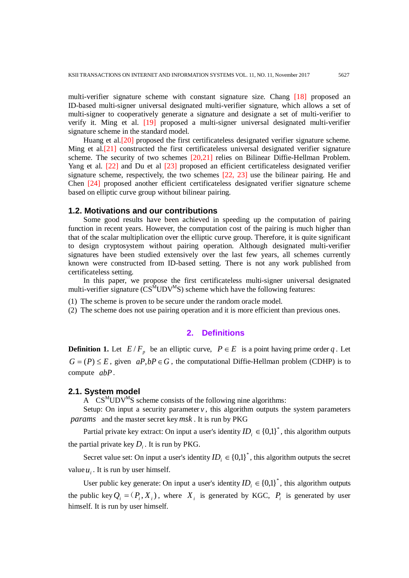multi-verifier signature scheme with constant signature size. Chang [18] proposed an ID-based multi-signer universal designated multi-verifier signature, which allows a set of multi-signer to cooperatively generate a signature and designate a set of multi-verifier to verify it. Ming et al. [19] proposed a multi-signer universal designated multi-verifier signature scheme in the standard model.

Huang et al.[20] proposed the first certificateless designated verifier signature scheme. Ming et al.[21] constructed the first certificateless universal designated verifier signature scheme. The security of two schemes [20,21] relies on Bilinear Diffie-Hellman Problem. Yang et al. [22] and Du et al [23] proposed an efficient certificateless designated verifier signature scheme, respectively, the two schemes  $[22, 23]$  use the bilinear pairing. He and Chen [24] proposed another efficient certificateless designated verifier signature scheme based on elliptic curve group without bilinear pairing.

## **1.2. Motivations and our contributions**

Some good results have been achieved in speeding up the computation of pairing function in recent years. However, the computation cost of the pairing is much higher than that of the scalar multiplication over the elliptic curve group. Therefore, it is quite significant to design cryptosystem without pairing operation. Although designated multi-verifier signatures have been studied extensively over the last few years, all schemes currently known were constructed from ID-based setting. There is not any work published from certificateless setting.

In this paper, we propose the first certificateless multi-signer universal designated multi-verifier signature  $\overline{(CS^MUDV^MS)}$  scheme which have the following features:

(1) The scheme is proven to be secure under the random oracle model.

(2) The scheme does not use pairing operation and it is more efficient than previous ones.

## **2. Definitions**

**Definition 1.** Let  $E/F_p$  be an elliptic curve,  $P \in E$  is a point having prime order q. Let  $G = (P) \leq E$ , given  $aP, bP \in G$ , the computational Diffie-Hellman problem (CDHP) is to compute *abP*.

## **2.1. System model**

A  $CS^{M}UDV^{M}S$  scheme consists of the following nine algorithms:

Setup: On input a security parameter  $\nu$ , this algorithm outputs the system parameters *params* and the master secret key *msk* . It is run by PKG

Partial private key extract: On input a user's identity  $ID_i \in \{0,1\}^*$ , this algorithm outputs the partial private key  $D_i$ . It is run by PKG.

Secret value set: On input a user's identity  $ID_i \in \{0,1\}^*$ , this algorithm outputs the secret value  $u_i$ . It is run by user himself.

User public key generate: On input a user's identity  $ID_i \in \{0,1\}^*$ , this algorithm outputs the public key  $Q_i = (P_i, X_i)$ , where  $X_i$  is generated by KGC,  $P_i$  is generated by user himself. It is run by user himself.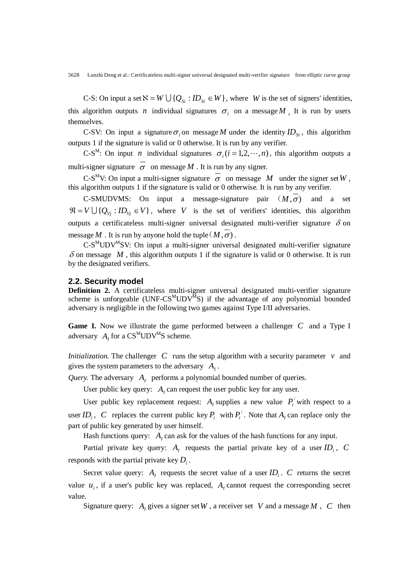C-S: On input a set  $\aleph = W \cup \{Q_{si} : ID_{si} \in W\}$ , where *W* is the set of signers' identities, this algorithm outputs *n* individual signatures  $\sigma_i$  on a message *M*. It is run by users themselves.

C-SV: On input a signature  $\sigma_i$  on message *M* under the identity  $ID_{si}$ , this algorithm outputs 1 if the signature is valid or 0 otherwise. It is run by any verifier.

C-S<sup>M</sup>: On input *n* individual signatures  $\sigma_i$  ( $i = 1,2,\dots,n$ ), this algorithm outputs a multi-signer signature  $\overline{\sigma}$  on message *M*. It is run by any signer.

C-S<sup>M</sup>V: On input a multi-signer signature  $\overline{\sigma}$  on message *M* under the signer set W, this algorithm outputs 1 if the signature is valid or 0 otherwise. It is run by any verifier.

C-SMUDVMS: On input a message-signature pair  $(M, \sigma)$  and a set  $\mathfrak{R} = V \cup \{Q_{V_i} : ID_{V_i} \in V\}$ , where *V* is the set of verifiers' identities, this algorithm outputs a certificateless multi-signer universal designated multi-verifier signature  $\delta$  on message *M*. It is run by anyone hold the tuple  $(M, \sigma)$ .

 $C-S<sup>M</sup>UDV<sup>M</sup>SV$ : On input a multi-signer universal designated multi-verifier signature  $\delta$  on message  $M$ , this algorithm outputs 1 if the signature is valid or 0 otherwise. It is run by the designated verifiers.

#### **2.2. Security model**

**Definition 2.** A certificateless multi-signer universal designated multi-verifier signature scheme is unforgeable ( $UNF-CS^{M}UDV^{M}S$ ) if the advantage of any polynomial bounded adversary is negligible in the following two games against Type I/II adversaries.

**Game I.** Now we illustrate the game performed between a challenger *C* and a Type I adversary  $A_t$  for a  $CS^{M}UDV^{M}S$  scheme.

*Initialization.* The challenger  $C$  runs the setup algorithm with a security parameter  $v$  and gives the system parameters to the adversary  $A_i$ .

*Query.* The adversary  $A_I$  performs a polynomial bounded number of queries.

User public key query:  $A<sub>i</sub>$  can request the user public key for any user.

User public key replacement request:  $A_i$  supplies a new value  $P_i$ <sup>'</sup> with respect to a user  $ID_i$ ,  $C$  replaces the current public key  $P_i$  with  $P_i^{\prime}$ . Note that  $A_i$  can replace only the part of public key generated by user himself.

Hash functions query:  $A<sub>I</sub>$  can ask for the values of the hash functions for any input.

Partial private key query:  $A_i$  requests the partial private key of a user  $ID_i$ ,  $C$ responds with the partial private key  $D_i$ .

Secret value query:  $A_i$  requests the secret value of a user  $ID_i$ .  $C$  returns the secret value  $u_i$ , if a user's public key was replaced,  $A_i$  cannot request the corresponding secret value.

Signature query:  $A_i$  gives a signer set  $W$ , a receiver set  $V$  and a message  $M$ ,  $C$  then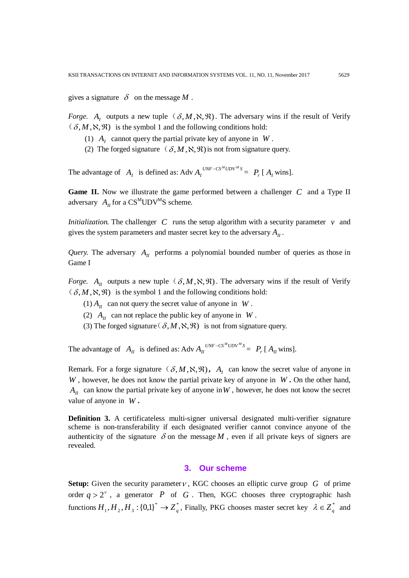gives a signature  $\delta$  on the message M.

*Forge.* A<sub>1</sub> outputs a new tuple  $(\delta, M, \aleph, \aleph)$ . The adversary wins if the result of Verify  $(\delta, M, \aleph, \mathfrak{R})$  is the symbol 1 and the following conditions hold:

- (1)  $A_t$  cannot query the partial private key of anyone in  $W$ .
- (2) The forged signature  $(\delta, M, \aleph, \aleph)$  is not from signature query.

The advantage of  $A_I$  is defined as: Adv  $A_I^{UNF - CS^MUDV^M S}$  $A_I^{UNF - CS^MUDV^M S} = P_r [A_I \text{ wins}].$ 

**Game II.** Now we illustrate the game performed between a challenger *C* and a Type II adversary  $A_{II}$  for a  $CS^{M}UDV^{M}S$  scheme.

*Initialization.* The challenger *C* runs the setup algorithm with a security parameter *v* and gives the system parameters and master secret key to the adversary  $A<sub>II</sub>$ .

*Query.* The adversary  $A_{II}$  performs a polynomial bounded number of queries as those in Game I

*Forge.*  $A_{II}$  outputs a new tuple  $(\delta, M, \aleph, \mathfrak{R})$ . The adversary wins if the result of Verify  $(\delta, M, \aleph, \mathfrak{R})$  is the symbol 1 and the following conditions hold:

- $(1) A_{II}$  can not query the secret value of anyone in *W*.
- (2)  $A_{II}$  can not replace the public key of anyone in *W*.
- (3) The forged signature ( $\delta, M, \aleph, \Re$ ) is not from signature query.

The advantage of  $A_{II}$  is defined as: Adv  $A_{II}^{UNF - CS^{M}UDV^{M}S}$  $A_{II}^{UNF - CS^{M}UDV^{M}S} = P_{r} [A_{II} \text{ wins}].$ 

Remark. For a forge signature  $(\delta, M, \aleph, \Re)$ ,  $A_i$  can know the secret value of anyone in *W* , however, he does not know the partial private key of anyone in *W* **.** On the other hand,  $A_{II}$  can know the partial private key of anyone in W, however, he does not know the secret value of anyone in *W* **.**

**Definition** 3. A certificateless multi-signer universal designated multi-verifier signature scheme is non-transferability if each designated verifier cannot convince anyone of the authenticity of the signature  $\delta$  on the message  $M$ , even if all private keys of signers are revealed.

# **3. Our scheme**

**Setup:** Given the security parameter  $\nu$ , KGC chooses an elliptic curve group *G* of prime order  $q > 2^{\nu}$ , a generator *P* of *G*. Then, KGC chooses three cryptographic hash functions  $H_1, H_2, H_3$ : {0,1}<sup>\*</sup>  $\rightarrow$  *Z*<sub>q</sub><sup>\*</sup>, Finally, PKG chooses master secret key  $\lambda \in Z_q^*$  and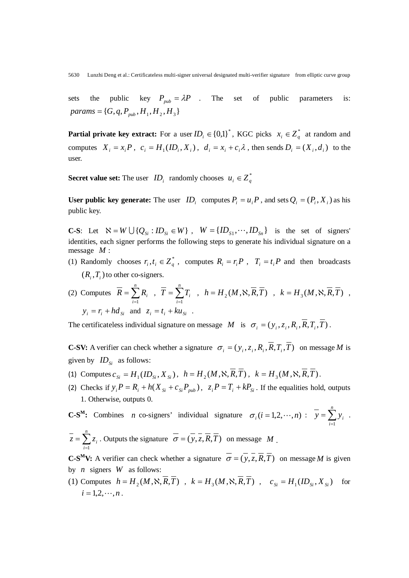sets the public key  $P_{pub} = \lambda P$ . The set of public parameters is:  ${params = \{ G, q, P_{pub}, H_1, H_2, H_3 \}}$ 

**Partial private key extract:** For a user  $ID_i \in \{0,1\}^*$ , KGC picks  $x_i \in Z_q^*$  at random and computes  $X_i = x_i P$ ,  $c_i = H_1 (ID_i, X_i)$ ,  $d_i = x_i + c_i \lambda$ , then sends  $D_i = (X_i, d_i)$  to the user.

**Secret value set:** The user  $ID_i$  randomly chooses  $u_i \in Z_q^*$ 

**User public key generate:** The user  $ID_i$  computes  $P_i = u_i P$ , and sets  $Q_i = (P_i, X_i)$  as his public key.

**C-S**: Let  $\aleph = W \cup \{Q_{si} : ID_{si} \in W\}$ ,  $W = \{ID_{si}, \cdots, ID_{si}\}$  is the set of signers' identities, each signer performs the following steps to generate his individual signature on a message *M* :

(1) Randomly chooses  $r_i, t_i \in Z_a^*$ , computes  $R_i = r_i P$ ,  $T_i = t_i P$  and then broadcasts  $(R_i, T_i)$  to other co-signers.

(2) Compute 
$$
\overline{R} = \sum_{i=1}^{n} R_i
$$
,  $\overline{T} = \sum_{i=1}^{n} T_i$ ,  $h = H_2(M, \aleph, \overline{R}, \overline{T})$ ,  $k = H_3(M, \aleph, \overline{R}, \overline{T})$ ,  
\n $y_i = r_i + h d_{Si}$  and  $z_i = t_i + k u_{Si}$ .

The certificateless individual signature on message *M* is  $\sigma_i = (y_i, z_i, R_i, \overline{R}, T_i, \overline{T})$ .

**C-SV:** A verifier can check whether a signature  $\sigma_i = (y_i, z_i, R_i, \overline{R}, T_i, \overline{T})$  on message *M* is given by  $ID_{si}$  as follows:

- (1) Computes  $c_{si} = H_1(ID_{si}, X_{si})$ ,  $h = H_2(M, \aleph, \overline{R}, \overline{T})$ ,  $k = H_3(M, \aleph, \overline{R}, \overline{T})$ .
- (2) Checks if  $y_i P = R_i + h(X_{si} + c_{si} P_{sub})$ ,  $z_i P = T_i + k P_{si}$ . If the equalities hold, outputs 1. Otherwise, outputs 0.

**C-S<sup>M</sup>:** Combines *n* co-signers' individual signature  $\sigma_i$  (*i* = 1,2,  $\cdots$ , *n*) :  $\bar{y} = \sum_{i=1}^{n}$ *i*  $y = \sum y_i$ . 1

 $=\sum_{i=1}^{n}$ *i*  $z = \sum z_i$ . Outputs the signature  $\sigma = (y, z, R, T)$  on message *M*. 1

**C-S<sup>M</sup>V:** A verifier can check whether a signature  $\overline{\sigma} = (\overline{y}, \overline{z}, \overline{R}, \overline{T})$  on message *M* is given by *n* signers *W* as follows:

(1) Computes  $h = H_2(M, \aleph, \overline{R}, \overline{T})$ ,  $k = H_3(M, \aleph, \overline{R}, \overline{T})$ ,  $c_{\text{si}} = H_1(ID_{\text{si}}, X_{\text{si}})$  for  $i = 1, 2, \dots, n$ .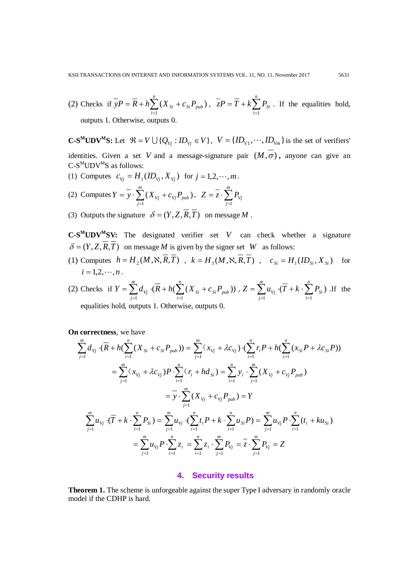(2) Checks if  $yP = R + h\sum (X_{si} + c_{si} P_{pub})$ 1 *Si pub n*  $\overline{y}P = \overline{R} + h\sum_{i=1}^{n} (X_{Si} + c_{Si}P_{pub})$ ,  $\overline{z}P = \overline{T} + k\sum_{i=1}^{n}$ *i*  $zP = T + k \sum P_{Si}$ 1 . If the equalities hold,

outputs 1. Otherwise, outputs 0.

**C-S<sup>M</sup>UDV<sup>M</sup>S:** Let  $\mathcal{R} = V \cup \{Q_{V_i} : ID_{V_i} \in V\}$ ,  $V = \{ID_{V_i}, \dots, ID_{V_m}\}$  is the set of verifiers' identities. Given a set *V* and a message-signature pair  $(M, \sigma)$ , anyone can give an  $C-S^{M}UDV^{M}S$  as follows:

- (1) Computes  $c_{vi} = H_1 (ID_{vi}, X_{vi})$  for  $j = 1, 2, \dots, m$ .
- (2) Computes  $Y = y \cdot \sum (X_{vi} + c_{vi} P_{pub})$ 1 *pub m*  $Y = \overline{y} \cdot \sum_{j=1}^{m} (X_{Vj} + c_{Vj} P_{pub}), \ \ Z = \overline{z} \cdot \sum_{j=1}^{m}$ *j*  $Z = z \cdot \sum P_{\textit{vj}}$ 1
- (3) Outputs the signature  $\delta = (Y, Z, \overline{R}, \overline{T})$  on message *M*.

**C-SMUDVMSV:** The designated verifier set *V* can check whether a signature  $\delta = (Y, Z, \overline{R}, \overline{T})$  on message *M* is given by the signer set *W* as follows:

- (1) Computes  $h = H_2(M, \aleph, \overline{R}, \overline{T})$ ,  $k = H_3(M, \aleph, \overline{R}, \overline{T})$ ,  $c_{Si} = H_1(ID_{Si}, X_{Si})$  for  $i = 1, 2, \cdots, n$ .
- (2) Checks if  $Y = \sum d_{V_i} \cdot (R + h(\sum (X_{Si} + c_{Si} P_{pub}))$  $i=1$ *Si pub n i Si m*  $Y = \sum_{j=1} d_{Vj} \cdot (\overline{R} + h(\sum_{i=1} (X_{Si} + c_{Si} P_{pub})))$  ,  $Z = \sum_{j=1} u_{Vj} \cdot (\overline{T} + k \cdot \sum_{i=1} P_{Si})$  $=\sum_{j=1}^{m}u_{V_j}\cdot(\overline{T}+k\cdot\sum_{i=1}^{n}$ *i Si m j*  $Z = \sum u_{Vj} \cdot (T + k \cdot \sum P_{Si})$  If the equalities hold, outputs 1. Otherwise, outputs 0.

**On correctness**, we have

$$
\sum_{j=1}^{m} d_{V_j} \cdot (\overline{R} + h(\sum_{i=1}^{n} (X_{S_i} + c_{Si} P_{pub})) = \sum_{j=1}^{m} (x_{V_j} + \lambda c_{V_j}) \cdot (\sum_{i=1}^{n} r_i P + h(\sum_{i=1}^{n} (x_{Si} P + \lambda c_{Si} P))
$$
  
\n
$$
= \sum_{j=1}^{m} (x_{V_j} + \lambda c_{V_j}) P \cdot \sum_{i=1}^{n} (r_i + h d_{Si}) = \sum_{i=1}^{n} y_i \cdot \sum_{j=1}^{m} (X_{V_j} + c_{V_j} P_{pub})
$$
  
\n
$$
= \overline{y} \cdot \sum_{j=1}^{m} (X_{V_j} + c_{V_j} P_{pub}) = Y
$$
  
\n
$$
\sum_{j=1}^{m} u_{V_j} \cdot (\overline{T} + k \cdot \sum_{i=1}^{n} P_{Si}) = \sum_{j=1}^{m} u_{V_j} \cdot (\sum_{i=1}^{n} t_i P + k \cdot \sum_{i=1}^{n} u_{Si} P) = \sum_{j=1}^{m} u_{V_j} P \cdot \sum_{i=1}^{n} (t_i + k u_{Si})
$$
  
\n
$$
= \sum_{j=1}^{m} u_{V_j} P \cdot \sum_{i=1}^{n} z_i = \sum_{i=1}^{n} z_i \cdot \sum_{j=1}^{m} P_{V_j} = \overline{z} \cdot \sum_{j=1}^{m} P_{V_j} = Z
$$

#### **4. Security results**

**Theorem 1.** The scheme is unforgeable against the super Type I adversary in randomly oracle model if the CDHP is hard.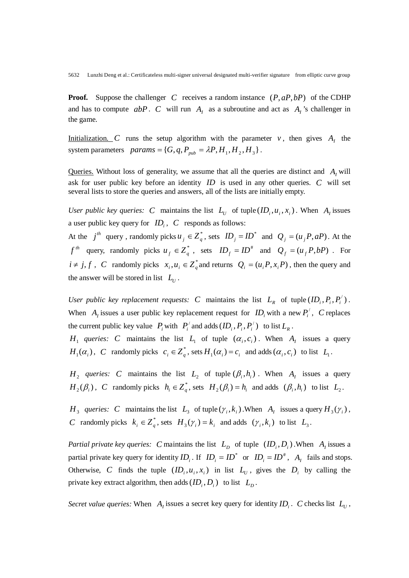**Proof.** Suppose the challenger *C* receives a random instance (*P*, *aP*,*bP*) of the CDHP and has to compute  $abP$ . *C* will run  $A<sub>I</sub>$  as a subroutine and act as  $A<sub>I</sub>$ 's challenger in the game.

Initialization. *C* runs the setup algorithm with the parameter  $v$ , then gives  $A_t$ , the system parameters  $params = {G, q, P_{pub} = \lambda P, H_1, H_2, H_3}.$ 

Queries. Without loss of generality, we assume that all the queries are distinct and  $A<sub>t</sub>$  will ask for user public key before an identity *ID* is used in any other queries. *C* will set several lists to store the queries and answers, all of the lists are initially empty.

*User public key queries: C* maintains the list  $L_U$  of tuple  $(ID_i, u_i, x_i)$ . When  $A_I$  issues a user public key query for  $ID_i$ ,  $C$  responds as follows:

At the  $j^{th}$  query, randomly picks  $u_j \in Z_q^*$ , sets  $ID_j = ID^*$  and  $Q_j = (u_j P, aP)$ . At the *f*<sup>th</sup> query, randomly picks  $u_f \in Z_q^*$ , sets  $ID_f = ID^*$  and  $Q_f = (u_f P, bP)$ . For  $i \neq j, f$ , *C* randomly picks  $x_i, u_i \in Z_q^*$  and returns  $Q_i = (u_i P, x_i P)$ , then the query and the answer will be stored in list  $L_{U}$ .

*User public key replacement requests: C* maintains the list  $L_R$  of tuple  $(ID_i, P_i, P'_i)$ . When  $A_i$  issues a user public key replacement request for  $ID_i$  with a new  $P_i^{\prime}$ ,  $C$  replaces the current public key value  $P_i$  with  $P'_i$  and adds  $(ID_i, P_i, P'_i)$  to list  $L_R$ .

*H*<sub>1</sub> *queries: C* maintains the list *L*<sub>1</sub> of tuple  $(\alpha_i, c_i)$ . When *A<sub>I</sub>* issues a query  $H_1(\alpha_i)$ , C randomly picks  $c_i \in Z_q^*$ , sets  $H_1(\alpha_i) = c_i$  and adds  $(\alpha_i, c_i)$  to list  $L_1$ .

*H*<sub>2</sub> *queries: C* maintains the list *L*<sub>2</sub> of tuple  $(\beta_i, h_i)$ . When  $A_i$  issues a query  $H_2(\beta_i)$ , *C* randomly picks  $h_i \in \mathbb{Z}_a^*$ , sets  $H_2(\beta_i) = h_i$  and adds  $(\beta_i, h_i)$  to list  $L_2$ .

*H*<sub>3</sub> *queries: C* maintains the list  $L_3$  of tuple  $(\gamma_i, k_i)$ . When  $A_i$  issues a query  $H_3(\gamma_i)$ , *C* randomly picks  $k_i \in \mathbb{Z}_q^*$ , sets  $H_3(\gamma_i) = k_i$  and adds  $(\gamma_i, k_i)$  to list  $L_3$ .

*Partial private key queries: C* maintains the list  $L_p$  of tuple  $(ID_i, D_i)$ . When  $A_i$  issues a partial private key query for identity  $ID_i$ . If  $ID_i = ID^*$  or  $ID_i = ID^*$ ,  $A_i$  fails and stops. Otherwise, *C* finds the tuple  $(ID_i, u_i, x_i)$  in list  $L_U$ , gives the  $D_i$  by calling the private key extract algorithm, then adds  $(ID_i, D_i)$  to list  $L_n$ .

*Secret value queries:* When  $A<sub>I</sub>$  issues a secret key query for identity  $ID<sub>i</sub>$ . *C* checks list  $L<sub>U</sub>$ ,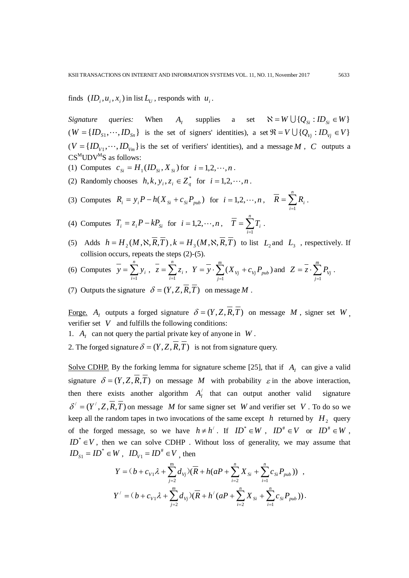finds  $(ID_i, u_i, x_i)$  in list  $L_{U}$ , responds with  $u_i$ .

*Signature queries:* When *A<sub>I</sub>* supplies a set  $\aleph = W \cup \{Q_{\text{S}} : ID_{\text{S}} \in W\}$  $(W = {ID_{s1}, \dots, ID_{s_n}}$  is the set of signers' identities), a set  $\mathcal{R} = V \cup {Q_{V_i}} : ID_{V_i} \in V$  $(V = \{ID_{V1}, \dots, ID_{Vm}\}\)$  is the set of verifiers' identities), and a message *M*, *C* outputs a  $CS^{M}UDV^{M}S$  as follows:

- (1) Computes  $c_{si} = H_1 (ID_{si}, X_{si})$  for  $i = 1, 2, \dots, n$ .
- (2) Randomly chooses  $h, k, y_i, z_i \in Z_q^*$  for  $i = 1, 2, \dots, n$ .
- (3) Computes  $R_i = y_i P h(X_{Si} + c_{Si}P_{pub})$  for  $i = 1, 2, \dots, n, \quad \overline{R} = \sum_{i=1}^{n}$ *i*  $R = \sum R_i$ 1 .

(4) Computers 
$$
T_i = z_i P - kP_{si}
$$
 for  $i = 1, 2, \dots, n$ ,  $\overline{T} = \sum_{i=1}^{n} T_i$ .

(5) Adds  $h = H_2(M, \aleph, \overline{R}, \overline{T})$ ,  $k = H_3(M, \aleph, \overline{R}, \overline{T})$  to list  $L_2$  and  $L_3$ , respectively. If collision occurs, repeats the steps (2)-(5).

(6) Compute 
$$
\overline{y} = \sum_{i=1}^{n} y_i
$$
,  $\overline{z} = \sum_{i=1}^{n} z_i$ ,  $Y = \overline{y} \cdot \sum_{j=1}^{m} (X_{vj} + c_{vj} P_{pub})$  and  $Z = \overline{z} \cdot \sum_{j=1}^{m} P_{vj}$ .

(7) Outputs the signature  $\delta = (Y, Z, \overline{R}, \overline{T})$  on message *M*.

Forge. *A<sub>I</sub>* outputs a forged signature  $\delta = (Y, Z, \overline{R}, \overline{T})$  on message *M*, signer set *W* verifier set  $V$  and fulfills the following conditions:

- 1.  $A_t$  can not query the partial private key of anyone in  $W$ .
- 2. The forged signature  $\delta = (Y, Z, \overline{R}, \overline{T})$  is not from signature query.

Solve CDHP. By the forking lemma for signature scheme [25], that if  $A<sub>I</sub>$  can give a valid signature  $\delta = (Y, Z, \overline{R}, \overline{T})$  on message *M* with probability  $\varepsilon$  in the above interaction, then there exists another algorithm  $A'_1$  that can output another valid signature  $\delta' = (Y', Z, \overline{R}, \overline{T})$  on message *M* for same signer set *W* and verifier set *V*. To do so we keep all the random tapes in two invocations of the same except *h* returned by  $H_2$  query of the forged message, so we have  $h \neq h'$ . If  $ID^* \in W$ ,  $ID^* \in V$  or  $ID^* \in W$ ,  $ID^* \in V$ , then we can solve CDHP. Without loss of generality, we may assume that  $ID_{S1} = ID^* \in W$ ,  $ID_{V1} = ID^* \in V$ , then

$$
Y = (b + c_{v1}\lambda + \sum_{j=2}^{m} d_{vj})(\overline{R} + h(aP + \sum_{i=2}^{n} X_{Si} + \sum_{i=1}^{n} c_{Si} P_{pub})) ,
$$
  

$$
Y' = (b + c_{v1}\lambda + \sum_{j=2}^{m} d_{vj})(\overline{R} + h'(aP + \sum_{i=2}^{n} X_{Si} + \sum_{i=1}^{n} c_{Si} P_{pub})).
$$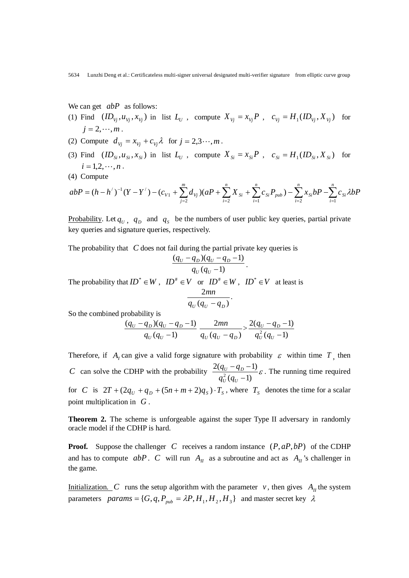We can get *abP* as follows:

- (1) Find  $(ID_{V_i}, u_{V_i}, x_{V_i})$  in list  $L_{U_i}$ , compute  $X_{V_i} = x_{V_i}P$ ,  $c_{V_i} = H_1(ID_{V_i}, X_{V_i})$  for  $j = 2, \cdots, m$ .
- (2) Compute  $d_{Vi} = x_{Vi} + c_{Vi} \lambda$  for  $j = 2, 3, \dots, m$ .
- (3) Find  $(ID_{Si}, u_{Si}, x_{Si})$  in list  $L_{U}$ , compute  $X_{Si} = x_{Si}P$ ,  $c_{Si} = H_{1}(ID_{Si}, X_{Si})$  for  $i = 1, 2, \cdots, n$ .
- (4) Compute

$$
abP = (h - h')^{-1}(Y - Y') - (c_{V1} + \sum_{j=2}^{m} d_{Vj})(aP + \sum_{i=2}^{n} X_{Si} + \sum_{i=1}^{n} c_{Si} P_{pub}) - \sum_{i=2}^{n} x_{Si} bP - \sum_{i=1}^{n} c_{Si} \lambda bP
$$

<u>Probability</u>. Let  $q_U$ ,  $q_D$  and  $q_S$  be the numbers of user public key queries, partial private key queries and signature queries, respectively.

The probability that *C* does not fail during the partial private key queries is

$$
\frac{(q_U - q_D)(q_U - q_D - 1)}{q_U(q_U - 1)}.
$$

The probability that  $ID^* \in W$ ,  $ID^* \in V$  or  $ID^* \in W$ ,  $ID^* \in V$  at least is

$$
\frac{2mn}{q_U(q_U-q_D)}.
$$

So the combined probability is

$$
\frac{(q_U - q_D)(q_U - q_D - 1)}{q_U(q_U - 1)} \frac{2mn}{q_U(q_U - q_D)} > \frac{2(q_U - q_D - 1)}{q_U^2(q_U - 1)}
$$

Therefore, if  $A<sub>I</sub>$  can give a valid forge signature with probability  $\varepsilon$  within time  $T<sub>1</sub>$ , then *C* can solve the CDHP with the probability  $\frac{2(Q_U - Q_D - 1)}{2(Q_U - Q_D)} \varepsilon$  $(q_{\rm U} - 1)$  $2(q_U - q_D - 1)$  $\frac{2}{U}(q_{U} -q<sub>p</sub>$  – *U U U D*  $q_U^2$  (q  $\frac{q_v - q_p - 1}{q_v - q_p} \varepsilon$ . The running time required for *C* is  $2T + (2q_U + q_D + (5n + m + 2)q_S) \cdot T_S$ , where  $T_S$  denotes the time for a scalar point multiplication in *G* .

**Theorem 2.** The scheme is unforgeable against the super Type II adversary in randomly oracle model if the CDHP is hard.

**Proof.** Suppose the challenger *C* receives a random instance (*P*, *aP*,*bP*) of the CDHP and has to compute  $abP$ . *C* will run  $A<sub>II</sub>$  as a subroutine and act as  $A<sub>II</sub>$ 's challenger in the game.

Initialization. *C* runs the setup algorithm with the parameter *v*, then gives  $A_{ij}$  the system parameters  $params = \{ G, q, P_{pub} = \lambda P, H_1, H_2, H_3 \}$  and master secret key  $\lambda$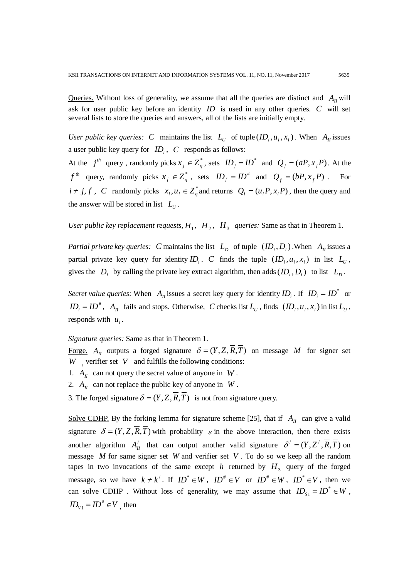Queries. Without loss of generality, we assume that all the queries are distinct and  $A<sub>II</sub>$  will ask for user public key before an identity *ID* is used in any other queries. *C* will set several lists to store the queries and answers, all of the lists are initially empty.

*User public key queries: C* maintains the list  $L_{U}$  of tuple  $(ID_i, u_i, x_i)$ . When  $A_{U}$  issues a user public key query for  $ID_i$ ,  $C$  responds as follows:

At the  $j^{th}$  query, randomly picks  $x_j \in Z_q^*$ , sets  $ID_j = ID^*$  and  $Q_j = (aP, x_j P)$ . At the *f*<sup>th</sup> query, randomly picks  $x_f \in Z_q^*$ , sets  $ID_f = ID^*$  and  $Q_f = (bP, x_f P)$ . For  $i \neq j, f$ , *C* randomly picks  $x_i, u_i \in Z_a^*$  and returns  $Q_i = (u_i P, x_i P)$ , then the query and the answer will be stored in list  $L_U$ .

*User public key replacement requests,*  $H_1$ ,  $H_2$ ,  $H_3$  *queries:* Same as that in Theorem 1.

*Partial private key queries: C* maintains the list  $L_p$  of tuple  $(ID_i, D_i)$ . When  $A_n$  issues a partial private key query for identity  $ID_i$ . *C* finds the tuple  $(ID_i, u_i, x_i)$  in list  $L_{U_i}$ , gives the  $D_i$  by calling the private key extract algorithm, then adds  $(ID_i, D_i)$  to list  $L_D$ .

*Secret value queries:* When  $A_{ij}$  issues a secret key query for identity  $ID_i$ . If  $ID_i = ID^*$  or  $ID_i = ID^*$ ,  $A_{II}$  fails and stops. Otherwise, *C* checks list  $L_U$ , finds  $(ID_i, u_i, x_i)$  in list  $L_U$ , responds with  $u_i$ .

*Signature queries:* Same as that in Theorem 1.

Forge.  $A_{II}$  outputs a forged signature  $\delta = (Y, Z, \overline{R}, \overline{T})$  on message M for signer set *W* , verifier set *V* and fulfills the following conditions:

- 1.  $A_{II}$  can not query the secret value of anyone in *W*.
- 2.  $A_{II}$  can not replace the public key of anyone in *W*.

3. The forged signature  $\delta = (Y, Z, \overline{R}, \overline{T})$  is not from signature query.

Solve CDHP. By the forking lemma for signature scheme [25], that if  $A_{II}$  can give a valid signature  $\delta = (Y, Z, \overline{R}, \overline{T})$  with probability  $\varepsilon$  in the above interaction, then there exists another algorithm  $A'_H$  that can output another valid signature  $\delta' = (Y, Z', \overline{R}, \overline{T})$  on message *M* for same signer set *W* and verifier set *V* . To do so we keep all the random tapes in two invocations of the same except  $h$  returned by  $H_3$  query of the forged message, so we have  $k \neq k'$ . If  $ID^* \in W$ ,  $ID^* \in V$  or  $ID^* \in W$ ,  $ID^* \in V$ , then we can solve CDHP. Without loss of generality, we may assume that  $ID_{s1} = ID^* \in W$ ,  $ID_{V1} = ID^* \in V$ , then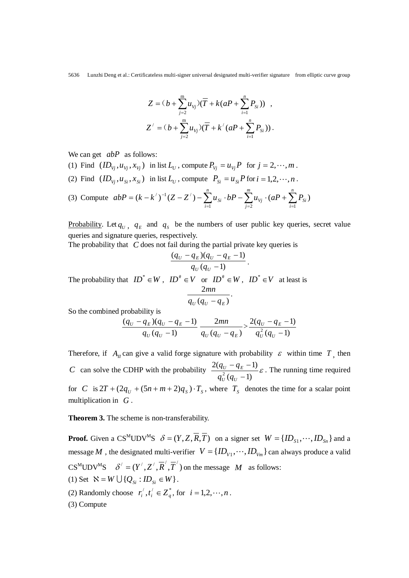$$
Z = (b + \sum_{j=2}^{m} u_{vj})(\overline{T} + k(aP + \sum_{i=1}^{n} P_{si})) ,
$$
  

$$
Z' = (b + \sum_{j=2}^{m} u_{vj})(\overline{T} + k'(aP + \sum_{i=1}^{n} P_{si})) .
$$

We can get *abP* as follows:

- (1) Find  $(ID_{V_i}, u_{V_i}, x_{V_i})$  in list  $L_U$ , compute  $P_{V_i} = u_{V_i}P$  for  $j = 2, \dots, m$ .
- (2) Find  $(ID_{Vi}, u_{Si}, x_{Si})$  in list  $L_{U}$ , compute  $P_{Si} = u_{Si}P$  for  $i = 1, 2, \dots, n$ .

(3) Compute 
$$
abP = (k - k')^{-1} (Z - Z') - \sum_{i=1}^{n} u_{si} \cdot bP - \sum_{j=2}^{m} u_{vj} \cdot (aP + \sum_{i=1}^{n} P_{si})
$$

<u>Probability</u>. Let  $q_U$ ,  $q_E$  and  $q_S$  be the numbers of user public key queries, secret value queries and signature queries, respectively.

The probability that *C* does not fail during the partial private key queries is

$$
\frac{(q_U-q_E)(q_U-q_E-1)}{q_U(q_U-1)}.
$$

The probability that  $ID^* \in W$ ,  $ID^* \in V$  or  $ID^* \in W$ ,  $ID^* \in V$  at least is

$$
\frac{2mn}{q_U(q_U-q_E)}.
$$

So the combined probability is

$$
\frac{(q_U - q_E)(q_U - q_E - 1)}{q_U(q_U - 1)} \frac{2mn}{q_U(q_U - q_E)} > \frac{2(q_U - q_E - 1)}{q_U^2(q_U - 1)}
$$

Therefore, if  $A_{II}$  can give a valid forge signature with probability  $\varepsilon$  within time  $T$ , then *C* can solve the CDHP with the probability  $\frac{2(Q_U - Q_E - 1)}{2(Q_U - Q_E)} \varepsilon$  $(q_{\rm U} - 1)$  $2(q_U - q_E - 1)$  $\frac{2}{U}(q_{U} -q_F U \vee U$  $U$   $4E$  $q_U^2$  (q  $\frac{q_v - q_E - 1}{g}$ . The running time required for *C* is  $2T + (2q_{U} + (5n + m + 2)q_{S}) \cdot T_{S}$ , where  $T_{S}$  denotes the time for a scalar point multiplication in *G* .

**Theorem 3.** The scheme is non-transferability.

**Proof.** Given a CS<sup>M</sup>UDV<sup>M</sup>S  $\delta = (Y, Z, \overline{R}, \overline{T})$  on a signer set  $W = \{ID_{s1}, \dots, ID_{s_n}\}$  and a message *M*, the designated multi-verifier  $V = \{ID_{V_1}, \dots, ID_{V_m}\}$  can always produce a valid  $CS^{M}UDV^{M}S$   $\delta' = (Y', Z', \overline{R}', \overline{T}')$  on the message *M* as follows: (1) Set  $\aleph = W \bigcup \{Q_{\text{S}i} : ID_{\text{S}i} \in W\}.$ 

(2) Randomly choose  $r_i^j, t_i^j \in Z_a^*$ , for  $i = 1, 2, \dots, n$ .

(3) Compute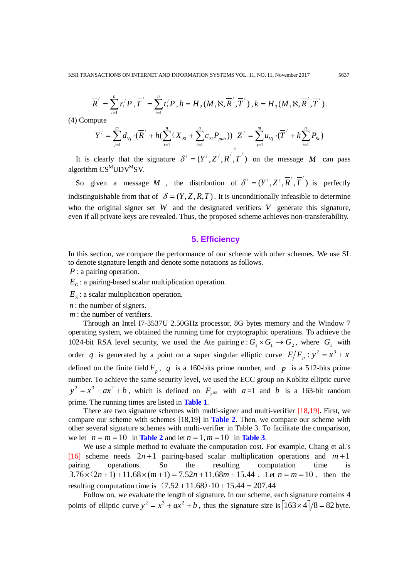$$
\overline{R}' = \sum_{i=1}^n r_i' P_i, \overline{T}' = \sum_{i=1}^n t_i' P_i, h = H_2(M, \aleph, \overline{R}', \overline{T}') , k = H_3(M, \aleph, \overline{R}', \overline{T}').
$$

(4) Compute

$$
Y' = \sum_{j=1}^{m} d_{V_j} \cdot (\overline{R}' + h(\sum_{i=1}^{n} (X_{Si} + \sum_{i=1}^{n} c_{Si} P_{pub})) Z' = \sum_{j=1}^{m} u_{V_j} \cdot (\overline{T}' + k \sum_{i=1}^{n} P_{Si})
$$

It is clearly that the signature  $\delta' = (Y', Z', \overline{R}', \overline{T}')$  on the message *M* can pass algorithm  $CS^{M}UDV^{M}SV$ .

So given a message M, the distribution of  $\delta' = (Y', Z', \overline{R}', \overline{T}')$  is perfectly indistinguishable from that of  $\delta = (Y, Z, \overline{R}, \overline{T})$ . It is unconditionally infeasible to determine who the original signer set *W* and the designated verifiers *V* generate this signature, even if all private keys are revealed. Thus, the proposed scheme achieves non-transferability.

## **5. Efficiency**

In this section, we compare the performance of our scheme with other schemes. We use SL to denote signature length and denote some notations as follows.

*P* : a pairing operation.

 $E_G$ : a pairing-based scalar multiplication operation.

 $E<sub>s</sub>$ : a scalar multiplication operation.

*n* : the number of signers.

*m* : the number of verifiers.

Through an Intel I7-3537U 2.50GHz processor, 8G bytes memory and the Window 7 operating system, we obtained the running time for cryptographic operations. To achieve the 1024-bit RSA level security, we used the Ate pairing  $e : G_1 \times G_1 \to G_2$ , where  $G_1$  with order *q* is generated by a point on a super singular elliptic curve  $E/F_p : y^2 = x^3 + x$ defined on the finite field  $F_p$ , q is a 160-bits prime number, and p is a 512-bits prime number. To achieve the same security level, we used the ECC group on Koblitz elliptic curve  $y^2 = x^3 + ax^2 + b$ , which is defined on  $F_2$  is with  $a=1$  and *b* is a 163-bit random prime. The running times are listed in **Table 1**.

There are two signature schemes with multi-signer and multi-verifier [18,19]. First, we compare our scheme with schemes [18,19] in **Table 2**. Then, we compare our scheme with other several signature schemes with multi-verifier in Table 3. To facilitate the comparison, we let  $n = m = 10$  in **Table 2** and let  $n = 1, m = 10$  in **Table 3**.

We use a simple method to evaluate the computation cost. For example, Chang et al.'s [16] scheme needs  $2n+1$  pairing-based scalar multiplication operations and  $m+1$ pairing operations. So the resulting computation time is  $3.76 \times (2n+1) + 11.68 \times (m+1) = 7.52n + 11.68m + 15.44$ . Let  $n = m = 10$ , then the resulting computation time is  $(7.52 +11.68) \cdot 10 +15.44 = 207.44$ 

Follow on, we evaluate the length of signature. In our scheme, each signature contains 4 points of elliptic curve  $y^2 = x^3 + ax^2 + b$ , thus the signature size is  $\left[163 \times 4\right] / 8 = 82$  byte.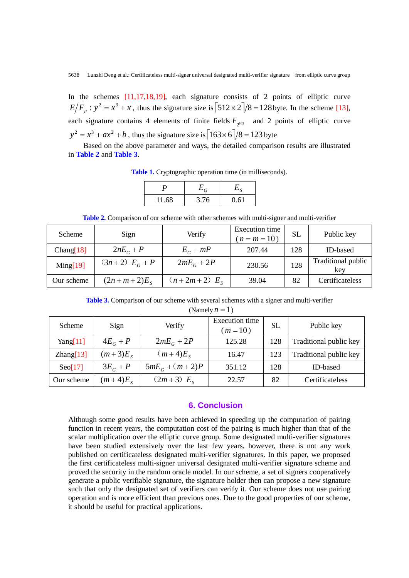In the schemes [11,17,18,19], each signature consists of 2 points of elliptic curve  $E/F_p$ :  $y^2 = x^3 + x$ , thus the signature size is  $\left[512 \times 2\right] / 8 = 128$  byte. In the scheme [13], each signature contains 4 elements of finite fields  $F_{\gamma^{163}}$  and 2 points of elliptic curve  $y^{2} = x^{3} + ax^{2} + b$ , thus the signature size is  $\left[163 \times 6\right] / 8 = 123$  byte

Based on the above parameter and ways, the detailed comparison results are illustrated in **Table 2** and **Table 3**.

**Table 1.** Cryptographic operation time (in milliseconds).

 $P$  *E<sub>G</sub>*  $E_{S}$ 11.68 3.76 0.61

**Table 2.** Comparison of our scheme with other schemes with multi-signer and multi-verifier

| <b>Scheme</b> | Sign                | Verify           | <b>Execution</b> time<br>$(n = m = 10)$ | <b>SL</b> | Public key                |
|---------------|---------------------|------------------|-----------------------------------------|-----------|---------------------------|
| Chang[18]     | $2nE_c+P$           | $E_c + mP$       | 207.44                                  | 128       | ID-based                  |
| Ming[19]      | $(3n+2) EG + P$     | $2mE_c + 2P$     | 230.56                                  | 128       | Traditional public<br>key |
| Our scheme    | $(2n + m + 2)E_{s}$ | $(n+2m+2) E_{s}$ | 39.04                                   | 82        | Certificateless           |

**Table 3.** Comparison of our scheme with several schemes with a signer and multi-verifier

(Namely  $n = 1$ )

| Scheme           | Sign         | Verify           | <b>Execution</b> time<br>$(m=10)$ | <b>SL</b> | Public key             |
|------------------|--------------|------------------|-----------------------------------|-----------|------------------------|
| Yang[ $11$ ]     | $4E_c + P$   | $2mE_G + 2P$     | 125.28                            | 128       | Traditional public key |
| Zhang[13]        | $(m+3)E_{S}$ | $(m+4)E_s$       | 16.47                             | 123       | Traditional public key |
| $\text{Seo}[17]$ | $3E_c + P$   | $5mE_c + (m+2)P$ | 351.12                            | 128       | ID-based               |
| Our scheme       | $(m+4)E_s$   | $(2m+3) E_s$     | 22.57                             | 82        | Certificateless        |

# **6. Conclusion**

Although some good results have been achieved in speeding up the computation of pairing function in recent years, the computation cost of the pairing is much higher than that of the scalar multiplication over the elliptic curve group. Some designated multi-verifier signatures have been studied extensively over the last few years, however, there is not any work published on certificateless designated multi-verifier signatures. In this paper, we proposed the first certificateless multi-signer universal designated multi-verifier signature scheme and proved the security in the random oracle model. In our scheme, a set of signers cooperatively generate a public verifiable signature, the signature holder then can propose a new signature such that only the designated set of verifiers can verify it. Our scheme does not use pairing operation and is more efficient than previous ones. Due to the good properties of our scheme, it should be useful for practical applications.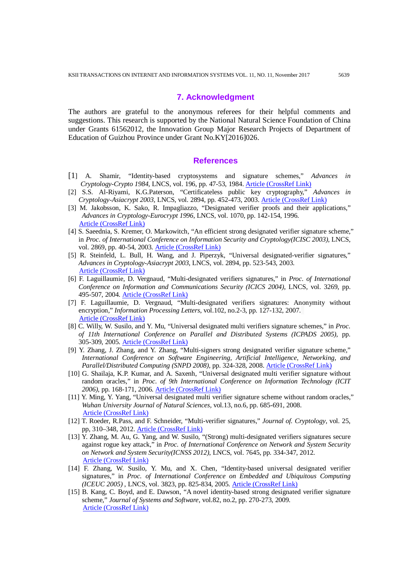#### **7. Acknowledgment**

The authors are grateful to the anonymous referees for their helpful comments and suggestions. This research is supported by the National Natural Science Foundation of China under Grants 61562012, the Innovation Group Major Research Projects of Department of Education of Guizhou Province under Grant No.KY[2016]026.

#### **References**

- [1] A. Shamir, "Identity-based cryptosystems and signature schemes," *Advances in Cryptology-Crypto 1984*, LNCS, vol. 196, pp. 47-53, 1984. [Article \(CrossRef Link\)](https://link.springer.com/chapter/10.1007/3-540-39568-7_5)
- [2] S.S. Al-Riyami, K.G.Paterson, "Certificateless public key cryptography," *Advances in Cryptology-Asiacrypt 2003,* LNCS, vol. 2894, pp. 452-473, 2003. [Article \(CrossRef Link\)](https://link.springer.com/chapter/10.1007/978-3-540-40061-5_29)
- [3] M. Jakobsson, K. Sako, R. Impagliazzo, "Designated verifier proofs and their applications," *Advances in Cryptology-Eurocrypt 1996*, LNCS, vol. 1070, pp. 142-154, 1996. [Article \(CrossRef Link\)](https://link.springer.com/chapter/10.1007/3-540-68339-9_13)
- [4] S. Saeednia, S. Kremer, O. Markowitch, "An efficient strong designated verifier signature scheme," in *Proc. of [International Conference on Information Security and Cryptology\(](https://link.springer.com/conference/icisc)ICISC 2003),* LNCS, vol. 2869, pp. 40-54, 2003. [Article \(CrossRef Link\)](https://link.springer.com/chapter/10.1007/978-3-540-24691-6_4)
- [5] R. Steinfeld, L. Bull, H. Wang, and J. Piperzyk, "Universal designated-verifier signatures," *Advances in Cryptology-Asiacrypt 2003*, LNCS, vol. 2894, pp. 523-543, 2003. [Article \(CrossRef Link\)](https://link.springer.com/chapter/10.1007/978-3-540-40061-5_33)
- [6] F. Laguillaumie, D. Vergnaud, "Multi-designated verifiers signatures," in *Proc. of [International](https://link.springer.com/conference/icics) [Conference on Information and Communications Security](https://link.springer.com/conference/icics) (ICICS 2004)*, LNCS, vol. 3269, pp. 495-507, 2004. [Article \(CrossRef Link\)](https://link.springer.com/chapter/10.1007/978-3-540-30191-2_38)
- [7] F. Laguillaumie, D. Vergnaud, "Multi-designated verifiers signatures: Anonymity without encryption," *Information Processing Letters*, vol.102, no.2-3, pp. 127-132, 2007. [Article \(CrossRef Link\)](https://doi.org/10.1016/j.ipl.2006.08.015)
- [8] C. Willy, W. Susilo, and Y. Mu, "Universal designated multi verifiers signature schemes," in *Proc. of [11th International Conference on](http://ieeexplore.ieee.org/xpl/mostRecentIssue.jsp?punumber=10248) [Parallel and Distributed Systems](http://ieeexplore.ieee.org/xpl/mostRecentIssue.jsp?punumber=10248) (ICPADS 2005)*, pp. 305-309, 2005. [Article \(CrossRef Link\)](https://doi.org/10.1109/ICPADS.2005.287)
- [9] Y. Zhang, J. Zhang, and Y. Zhang, "Multi-signers strong designated verifier signature scheme," *[International Conference on](http://ieeexplore.ieee.org/xpl/mostRecentIssue.jsp?punumber=4617324) [Software Engineering, Artificial Intelligence, Networking, and](http://ieeexplore.ieee.org/xpl/mostRecentIssue.jsp?punumber=4617324)  [Parallel/Distributed Computing](http://ieeexplore.ieee.org/xpl/mostRecentIssue.jsp?punumber=4617324) (SNPD 2008),* pp. 324-328, 2008. [Article \(CrossRef Link\)](https://doi.org/10.1109/SNPD.2008.68)
- [10] G. Shailaja, K.P. Kumar, and A. Saxenh, "Universal designated multi verifier signature without random oracles," in *Proc. of [9th International Conference on](http://ieeexplore.ieee.org/xpl/mostRecentIssue.jsp?punumber=4273128) [Information Technology](http://ieeexplore.ieee.org/xpl/mostRecentIssue.jsp?punumber=4273128) (ICIT 2006)*, pp. 168-171, 2006. [Article \(CrossRef Link\)](https://doi.org/10.1109/ICIT.2006.86)
- [11] Y. Ming, Y. Yang, "Universal designated multi verifier signature scheme without random oracles," *Wuhan University Journal of Natural Sciences,* vol.13, no.6, pp. 685-691, 2008. [Article \(CrossRef Link\)](https://doi.org/10.1007/s11859-008-0610-6)
- [12] T. Roeder, R.Pass, and F. Schneider, "Multi-verifier signatures," *Journal of. Cryptology*, vol. 25, pp, 310–348, 2012. [Article \(CrossRef Link\)](https://doi.org/10.1007/s00145-010-9096-4)
- [13] Y. Zhang, M. Au, G. Yang, and W. Susilo, "(Strong) multi-designated verifiers signatures secure against rogue key attack," in *Proc. of [International Conference on Network and System Security](https://link.springer.com/conference/nss) on [Network and System Security\(](https://link.springer.com/conference/nss)ICNSS 2012)*, LNCS, vol. 7645, pp. 334-347, 2012. [Article \(CrossRef Link\)](https://doi.org/10.1007/978-3-642-34601-9_25)
- [14] F. Zhang, W. Susilo, Y. Mu, and X. Chen, "Identity-based universal designated verifier signatures," in *Proc. of [International Conference on Embedded and Ubiquitous Computing](https://link.springer.com/conference/euc) [\(ICEUC](http://link.springer.com/book/10.1007/11596042) 2005)* , LNCS, vol. 3823, pp. 825-834, 2005. [Article \(CrossRef Link\)](https://doi.org/10.1007/11596042_85)
- [15] B. Kang, C. Boyd, and E. Dawson, "A novel identity-based strong designated verifier signature scheme," *Journal of Systems and Software*, vol.82, no.2, pp. 270-273, 2009. [Article \(CrossRef Link\)](https://doi.org/10.1016/j.jss.2008.06.014)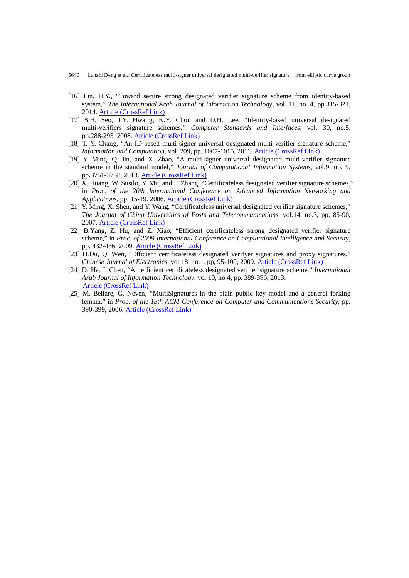- 5640 Lunzhi Deng et al.: Certificateless multi-signer universal designated multi-verifier signature from elliptic curve group
- [16] Lin, H.Y., "Toward secure strong designated verifier signature scheme from identity-based system," *The International Arab Journal of Information Technology*, vol. 11, no. 4, pp.315-321, 2014. [Article \(CrossRef Link\)](https://pdfs.semanticscholar.org/eb56/da15e0b36bc550a874cea5912149873679e5.pdf)
- [17] S.H. Seo, J.Y. Hwang, K.Y. Choi, and D.H. Lee, "Identity-based universal designated multi-verifiers signature schemes," *Computer Standards and Interfaces*, vol. 30, no.5, pp.288-295, 2008. [Article \(CrossRef Link\)](https://doi.org/10.1016/j.csi.2007.08.020)
- [18] T. Y. Chang, "An ID-based multi-signer universal designated multi-verifier signature scheme," *Information and Computation*, vol. 209, pp. 1007-1015, 2011. [Article \(CrossRef Link\)](https://doi.org/10.1016/j.ic.2011.03.002)
- [19] Y. Ming, Q. Jin, and X. Zhao, "A multi-signer universal designated multi-verifier signature scheme in the standard model," *Journal of Computational Information Systems*, vol.9, no. 9, pp.3751-3758, 2013. [Article \(CrossRef Link\)](http://www.jofcis.com/)
- [20] X. Huang, W. Susilo, Y. Mu, and F. Zhang, "Certificateless designated verifier signature schemes," in *Proc. of the 20th International Conference on Advanced Information Networking and Applications*, pp. 15-19. 2006. [Article \(CrossRef Link\)](https://doi.org/10.1109/AINA.2006.124)
- [21] Y. Ming, X. Shen, and Y. Wang, "Certificateless universal designated verifier signature schemes," *The Journal of China Universities of Posts and Telecommunications*, vol.14, no.3, pp, 85-90, 2007. [Article \(CrossRef Link\)](https://doi.org/10.1016/S1005-8885(07)60154-X)
- [22] B.Yang, Z. Hu, and Z. Xiao, "Efficient certificateless strong designated verifier signature scheme," in *Proc. of 2009 International Conference on Computational Intelligence and Security*, pp. 432-436, 2009. [Article \(CrossRef Link\)](https://doi.org/10.1109/CIS.2009.191)
- [23] H.Du, Q. Wen, "Efficient certificateless designated verifyer signatures and proxy signatures," *Chinese Journal of Electronics*, vol.18, no.1, pp, 95-100, 2009. [Article \(CrossRef Link\)](http://www.ejournal.org.cn/Jweb_cje/EN/abstract/abstract1799.shtml)
- [24] D. He, J. Chen, "An efficient certificateless designated verifier signature scheme," *International Arab Journal of Information Technology*, vol.10, no.4, pp. 389-396, 2013. [Article \(CrossRef Link\)](https://www.researchgate.net/publication/267226781_An_Efficient_Certificateless_Designated_Verifier_Signature_Scheme)
- [25] M. Bellare, G. Neven, "MultiSignatures in the plain public key model and a general forking lemma," in *Proc. of the 13th ACM Conference on Computer and Communications Security*, pp. 390-399, 2006[. Article \(CrossRef Link\)](https://doi.org/10.1145/1180405.1180453)